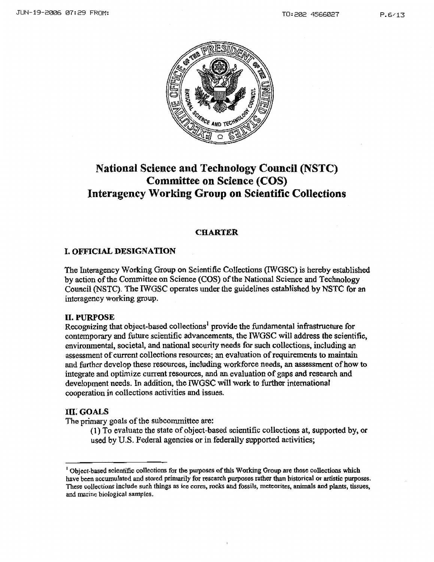

# **National Science and Technology Council (NSTC) Committee on Science (COS) Interagency Working Group on Scientific Collections**

## **CHARTER**

# I. **OFFJCIAL DESIGNATION**

The hiteragency Working Group on Scientific Collections (IWGSC) is hereby established by action ofthe Committee on Science (COS) ofthe National Science and Technology Council (NSTC). The IWGSC operates under the guidelines established by NSTC for an interagency working group.

## **II.PURPOSE**

Recognizing that object-based collections<sup>1</sup> provide the fundamental infrastructure for contemporary and future scientific advancements, the IWGSC will address the scientific, environmental, societal, and national security needs for such collections, including an assessment of current collections resources; an evaluation of requirements to maintain and further develop these resources, including workforce needs, an assessment of how to integrate and optimize current resources, and an evaluation of gaps and research and development needs. In addition, the IWGSC will work to further international cooperation in collections activities and issues.

# **HI. GOALS**

The primary goals of the subcommittee are:

 $(1)$  To evaluate the state of object-based scientific collections at, supported by, or used by U.S. Federal agencies or in federally supported activities;

<sup>&</sup>lt;sup>1</sup> Object-based scientific collections for the purposes of this Working Group are those collections which have been accumulated and stored primarily for research purposes rather than historical or artistic purposes. These collections include such things as ice cores, rocks and fossils, mcteorites, animals and plants, tissues, and marine biological samples.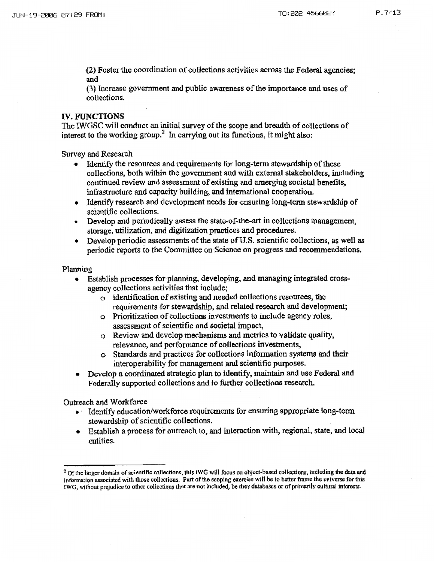(2) Foster the coordination of collections activities across the Federal agencies; and

(3) Increase government and public awareness ofthe importance and uses of collections.

#### **IV. FUNCTIONS**

The IWGSC will conduct an initial survey of the scope and breadth of collections of interest to the working group.<sup>2</sup> In carrying out its functions, it might also:

Survey and Research

- Identify the resources and requirements for long-term stewardship of these collections, both within the government and with external stakeholders, including continued review and assessment of existing and emerging societal benefits, infrastructure and capacity building, and international cooperation.
- Identify research and development needs for ensuring long-term stewardship of scientific collections.
- Develop and periodically assess the state-of-the-art in collections management, storage, utilization, and digitization practices and procedures.
- $\bullet$  Develop periodic assessments of the state of U.S. scientific collections, as well as periodic reports to the Committee on Science on progress and recommendations.

Planning

- Establish processes for planning, developing. and managing integrated crossagency collections activities that include;
	- o Identification of existing and needed collections resources, the requirements for stewardship, and related research and development;
	- o Prioritization ofcollections investments to include agency roles, assessment of scientific and societal impact,
	- o Review and develop mechanisms and metrics to validate quality, relevance, and performance of collections investments,
	- o Standards and practices for collections information systems and their interoperability for management and scientific purposes.
- Develop a coordinated strategic plan to identify. maintain and use Federal and Federally supported collections and to further collections research.

Outreach and Workforce

- Identify education/workforce requirements for ensuring appropriate long-term stewardship of scientific collections.
- Establish a process for outreach to, and interaction with, regional, state, and local entities.

<sup>&</sup>lt;sup>2</sup> Of the larger domain of scientific collections, this IWG will focus on object-based collections, including the data and information associated with those collections. Part of the scoping exercise will be to better frame the universe for this !WG, without prejudice to other collections that are not included, be they databases or of primnrily cultural interests.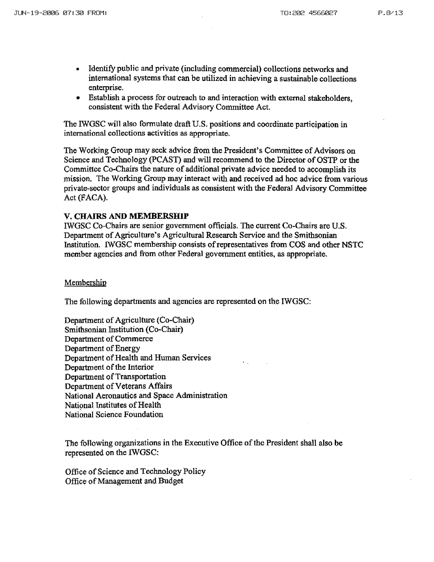- Identify public and private (including commercial) collections networks and international systems that can be utilized in achieving a sustainable collections enterprise.
- Establish a process for outreach to and interaction with external stakeholders, consistent with the Federal Advisory Committee Act.

The IWGSC will also formulate draft U.S. positions and coordinate participation in international collections activities as appropriate.

The Working Group may seek advice from the President's Committee of Advisors on Science and Technology (PCAST) and will recommend to the Director of OSTP or the Committee Co-Chairs the nature of additional private advice needed to accomplish its mission. The Working Group may interact with and received ad hoc advice from various private~sector groups and individuals as consistent with the Federal Advisory Committee Act(FACA).

#### **V. CHAIRS AND MEMBERSHIP**

IWGSC Co-Chairs are senior government officials. The current Co-Chairs are U.S. Department of Agriculture's Agricultural Research Service and the Smithsonian Institution. IWGSC membership consists ofrepresentatives from COS and other NSTC member agencies and from other Federal government entities, as appropriate.

#### Membership

The following departments and agencies are represented on the IWGSC:

Department of Agriculture (Co-Chair) Smithsonian Institution (Co-Chair) Department of Commerce Department of Energy Department of Health and Human Services Department of the Interior Department of Transportation Department of Veterans Affairs National Aeronautics and Space Administration National Institutes of Health National Science Foundation

The following organizations in the Executive Office ofthe President shall also be represented on the IWGSC:

Office of Science and Technology Policy Office of Management and Budget